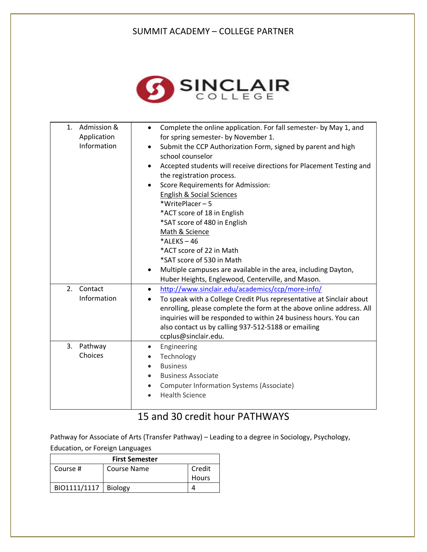## SUMMIT ACADEMY – COLLEGE PARTNER



| Admission &<br>1.<br>Application<br>Information | Complete the online application. For fall semester- by May 1, and<br>$\bullet$<br>for spring semester- by November 1.<br>Submit the CCP Authorization Form, signed by parent and high<br>$\bullet$<br>school counselor<br>Accepted students will receive directions for Placement Testing and<br>$\bullet$<br>the registration process.<br>Score Requirements for Admission:<br>$\bullet$<br><b>English &amp; Social Sciences</b><br>*WritePlacer-5<br>*ACT score of 18 in English<br>*SAT score of 480 in English<br>Math & Science<br>$*$ ALEKS - 46<br>*ACT score of 22 in Math<br>*SAT score of 530 in Math<br>Multiple campuses are available in the area, including Dayton,<br>$\bullet$ |
|-------------------------------------------------|------------------------------------------------------------------------------------------------------------------------------------------------------------------------------------------------------------------------------------------------------------------------------------------------------------------------------------------------------------------------------------------------------------------------------------------------------------------------------------------------------------------------------------------------------------------------------------------------------------------------------------------------------------------------------------------------|
| 2.<br>Contact<br>Information                    | Huber Heights, Englewood, Centerville, and Mason.<br>http://www.sinclair.edu/academics/ccp/more-info/<br>$\bullet$<br>To speak with a College Credit Plus representative at Sinclair about<br>$\bullet$<br>enrolling, please complete the form at the above online address. All<br>inquiries will be responded to within 24 business hours. You can<br>also contact us by calling 937-512-5188 or emailing<br>ccplus@sinclair.edu.                                                                                                                                                                                                                                                             |
| Pathway<br>3.<br>Choices                        | Engineering<br>$\bullet$<br>Technology<br>$\bullet$<br><b>Business</b><br>$\bullet$<br><b>Business Associate</b><br>$\bullet$<br>Computer Information Systems (Associate)<br><b>Health Science</b>                                                                                                                                                                                                                                                                                                                                                                                                                                                                                             |

## 15 and 30 credit hour PATHWAYS

Pathway for Associate of Arts (Transfer Pathway) – Leading to a degree in Sociology, Psychology, Education, or Foreign Languages

| <b>First Semester</b> |                |              |  |  |
|-----------------------|----------------|--------------|--|--|
| Course #              | Course Name    | Credit       |  |  |
|                       |                | <b>Hours</b> |  |  |
| BIO1111/1117          | <b>Biology</b> |              |  |  |